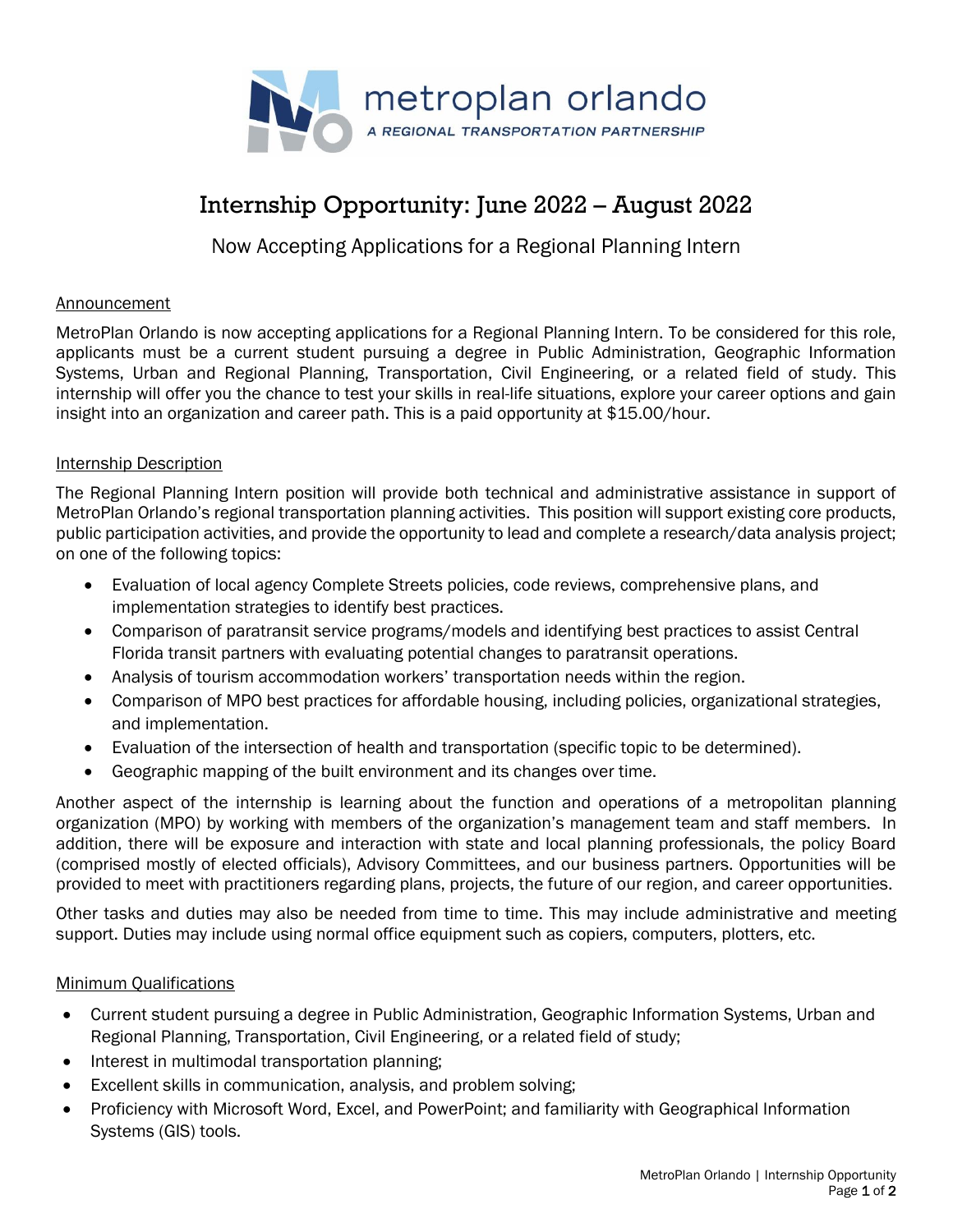

# Internship Opportunity: June 2022 – August 2022

# Now Accepting Applications for a Regional Planning Intern

### Announcement

MetroPlan Orlando is now accepting applications for a Regional Planning Intern. To be considered for this role, applicants must be a current student pursuing a degree in Public Administration, Geographic Information Systems, Urban and Regional Planning, Transportation, Civil Engineering, or a related field of study. This internship will offer you the chance to test your skills in real-life situations, explore your career options and gain insight into an organization and career path. This is a paid opportunity at \$15.00/hour.

### Internship Description

The Regional Planning Intern position will provide both technical and administrative assistance in support of MetroPlan Orlando's regional transportation planning activities. This position will support existing core products, public participation activities, and provide the opportunity to lead and complete a research/data analysis project; on one of the following topics:

- Evaluation of local agency Complete Streets policies, code reviews, comprehensive plans, and implementation strategies to identify best practices.
- Comparison of paratransit service programs/models and identifying best practices to assist Central Florida transit partners with evaluating potential changes to paratransit operations.
- Analysis of tourism accommodation workers' transportation needs within the region.
- Comparison of MPO best practices for affordable housing, including policies, organizational strategies, and implementation.
- Evaluation of the intersection of health and transportation (specific topic to be determined).
- Geographic mapping of the built environment and its changes over time.

Another aspect of the internship is learning about the function and operations of a metropolitan planning organization (MPO) by working with members of the organization's management team and staff members. In addition, there will be exposure and interaction with state and local planning professionals, the policy Board (comprised mostly of elected officials), Advisory Committees, and our business partners. Opportunities will be provided to meet with practitioners regarding plans, projects, the future of our region, and career opportunities.

Other tasks and duties may also be needed from time to time. This may include administrative and meeting support. Duties may include using normal office equipment such as copiers, computers, plotters, etc.

## Minimum Qualifications

- Current student pursuing a degree in Public Administration, Geographic Information Systems, Urban and Regional Planning, Transportation, Civil Engineering, or a related field of study;
- Interest in multimodal transportation planning;
- Excellent skills in communication, analysis, and problem solving;
- Proficiency with Microsoft Word, Excel, and PowerPoint; and familiarity with Geographical Information Systems (GIS) tools.